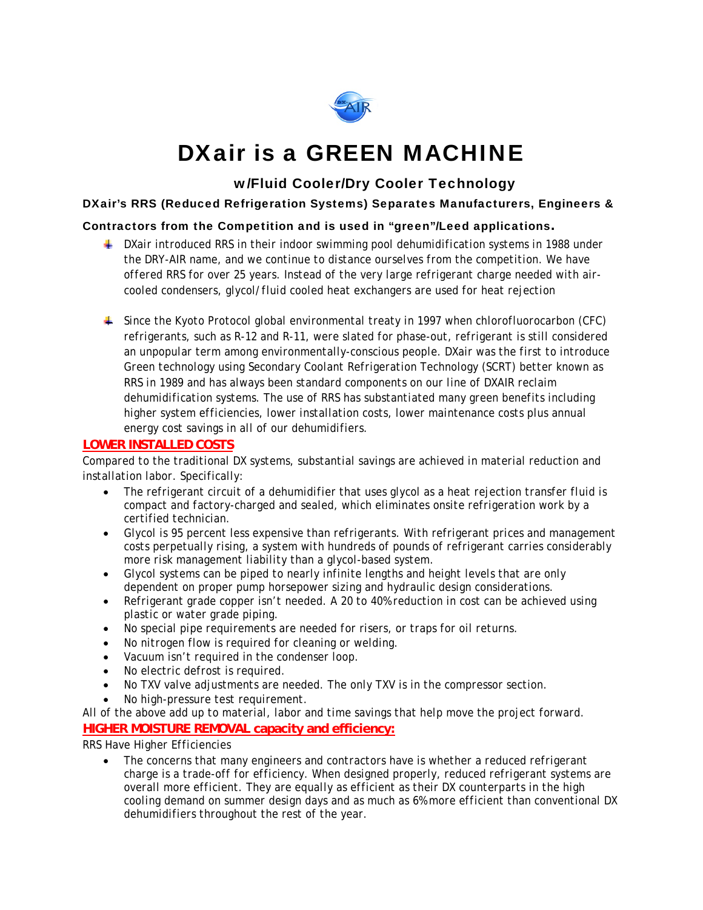

# DXair is a GREEN MACHINE

# w/Fluid Cooler/Dry Cooler Technology

### DXair's RRS (Reduced Refrigeration Systems) Separates Manufacturers, Engineers &

### Contractors from the Competition and is used in "green"/Leed applications.

- *DXair introduced RRS in their indoor swimming pool dehumidification systems in 1988 under the DRY-AIR name, and we continue to distance ourselves from the competition. We have offered RRS for over 25 years. Instead of the very large refrigerant charge needed with aircooled condensers, glycol/fluid cooled heat exchangers are used for heat rejection*
- *Since the Kyoto Protocol global environmental treaty in 1997 when chlorofluorocarbon (CFC) refrigerants, such as R-12 and R-11, were slated for phase-out, refrigerant is still considered an unpopular term among environmentally-conscious people. DXair was the first to introduce Green technology using Secondary Coolant Refrigeration Technology (SCRT) better known as RRS in 1989 and has always been standard components on our line of DXAIR reclaim dehumidification systems. The use of RRS has substantiated many green benefits including higher system efficiencies, lower installation costs, lower maintenance costs plus annual energy cost savings in all of our dehumidifiers.*

### **LOWER INSTALLED COSTS**

*Compared to the traditional DX systems, substantial savings are achieved in material reduction and installation labor. Specifically:* 

- *The refrigerant circuit of a dehumidifier that uses glycol as a heat rejection transfer fluid is compact and factory-charged and sealed, which eliminates onsite refrigeration work by a certified technician.*
- *Glycol is 95 percent less expensive than refrigerants. With refrigerant prices and management costs perpetually rising, a system with hundreds of pounds of refrigerant carries considerably more risk management liability than a glycol-based system.*
- *Glycol systems can be piped to nearly infinite lengths and height levels that are only dependent on proper pump horsepower sizing and hydraulic design considerations.*
- *Refrigerant grade copper isn't needed. A 20 to 40% reduction in cost can be achieved using plastic or water grade piping.*
- *No special pipe requirements are needed for risers, or traps for oil returns.*
- *No nitrogen flow is required for cleaning or welding.*
- *Vacuum isn't required in the condenser loop.*
- *No electric defrost is required.*
- *No TXV valve adjustments are needed. The only TXV is in the compressor section.*
- *No high-pressure test requirement.*

*All of the above add up to material, labor and time savings that help move the project forward.*  **HIGHER MOISTURE REMOVAL capacity and efficiency:**

*RRS Have Higher Efficiencies* 

 *The concerns that many engineers and contractors have is whether a reduced refrigerant charge is a trade-off for efficiency. When designed properly, reduced refrigerant systems are overall more efficient. They are equally as efficient as their DX counterparts in the high cooling demand on summer design days and as much as 6% more efficient than conventional DX dehumidifiers throughout the rest of the year.*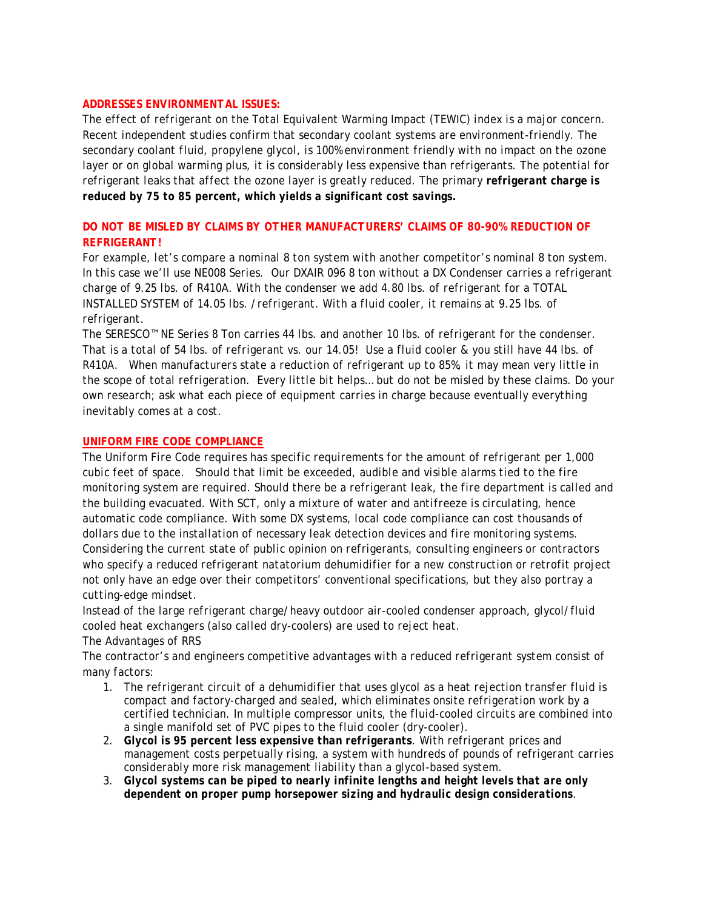#### *ADDRESSES ENVIRONMENTAL ISSUES:*

*The effect of refrigerant on the Total Equivalent Warming Impact (TEWIC) index is a major concern. Recent independent studies confirm that secondary coolant systems are environment-friendly. The secondary coolant fluid, propylene glycol, is 100% environment friendly with no impact on the ozone layer or on global warming plus, it is considerably less expensive than refrigerants. The potential for refrigerant leaks that affect the ozone layer is greatly reduced. The primary refrigerant charge is reduced by 75 to 85 percent, which yields a significant cost savings.* 

## *DO NOT BE MISLED BY CLAIMS BY OTHER MANUFACTURERS' CLAIMS OF 80-90% REDUCTION OF REFRIGERANT!*

*For example, let's compare a nominal 8 ton system with another competitor's nominal 8 ton system. In this case we'll use NE008 Series. Our DXAIR 096 8 ton without a DX Condenser carries a refrigerant charge of 9.25 lbs. of R410A. With the condenser we add 4.80 lbs. of refrigerant for a TOTAL INSTALLED SYSTEM of 14.05 lbs. /refrigerant. With a fluid cooler, it remains at 9.25 lbs. of refrigerant.* 

*The SERESCO™ NE Series 8 Ton carries 44 lbs. and another 10 lbs. of refrigerant for the condenser. That is a total of 54 lbs. of refrigerant vs. our 14.05! Use a fluid cooler & you still have 44 lbs. of R410A. When manufacturers state a reduction of refrigerant up to 85%, it may mean very little in the scope of total refrigeration. Every little bit helps… but do not be misled by these claims. Do your own research; ask what each piece of equipment carries in charge because eventually everything inevitably comes at a cost.* 

#### *UNIFORM FIRE CODE COMPLIANCE*

*The Uniform Fire Code requires has specific requirements for the amount of refrigerant per 1,000 cubic feet of space. Should that limit be exceeded, audible and visible alarms tied to the fire monitoring system are required. Should there be a refrigerant leak, the fire department is called and the building evacuated. With SCT, only a mixture of water and antifreeze is circulating, hence automatic code compliance. With some DX systems, local code compliance can cost thousands of dollars due to the installation of necessary leak detection devices and fire monitoring systems. Considering the current state of public opinion on refrigerants, consulting engineers or contractors who specify a reduced refrigerant natatorium dehumidifier for a new construction or retrofit project not only have an edge over their competitors' conventional specifications, but they also portray a cutting-edge mindset.* 

*Instead of the large refrigerant charge/heavy outdoor air-cooled condenser approach, glycol/fluid cooled heat exchangers (also called dry-coolers) are used to reject heat.* 

#### *The Advantages of RRS*

*The contractor's and engineers competitive advantages with a reduced refrigerant system consist of many factors:* 

- *1. The refrigerant circuit of a dehumidifier that uses glycol as a heat rejection transfer fluid is compact and factory-charged and sealed, which eliminates onsite refrigeration work by a certified technician. In multiple compressor units, the fluid-cooled circuits are combined into a single manifold set of PVC pipes to the fluid cooler (dry-cooler).*
- *2. Glycol is 95 percent less expensive than refrigerants. With refrigerant prices and management costs perpetually rising, a system with hundreds of pounds of refrigerant carries considerably more risk management liability than a glycol-based system.*
- *3. Glycol systems can be piped to nearly infinite lengths and height levels that are only dependent on proper pump horsepower sizing and hydraulic design considerations.*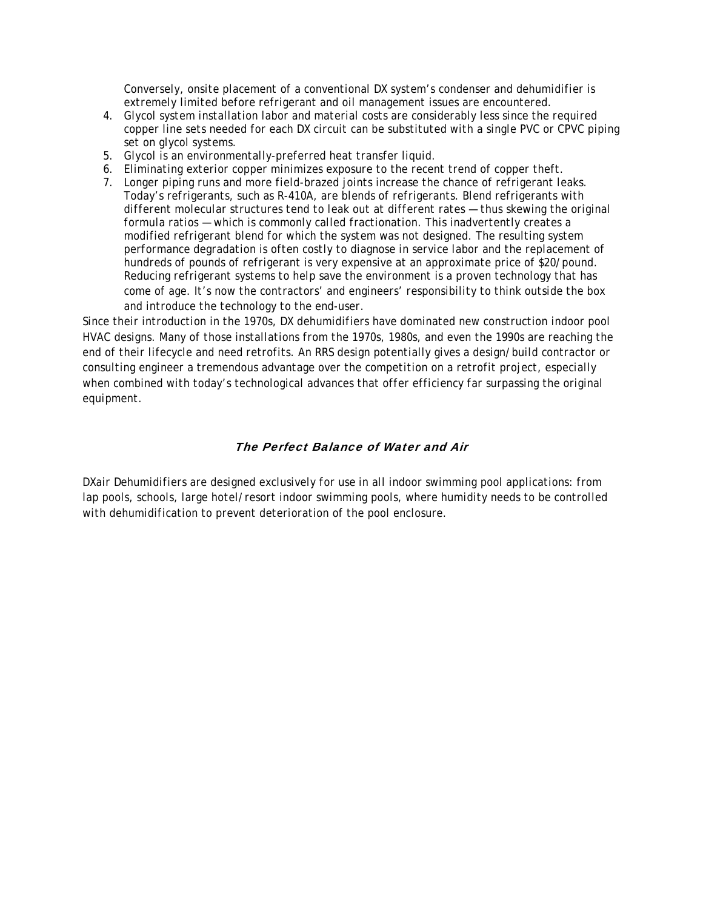*Conversely, onsite placement of a conventional DX system's condenser and dehumidifier is extremely limited before refrigerant and oil management issues are encountered.* 

- *4. Glycol system installation labor and material costs are considerably less since the required copper line sets needed for each DX circuit can be substituted with a single PVC or CPVC piping set on glycol systems.*
- *5. Glycol is an environmentally-preferred heat transfer liquid.*
- *6. Eliminating exterior copper minimizes exposure to the recent trend of copper theft.*
- *7. Longer piping runs and more field-brazed joints increase the chance of refrigerant leaks. Today's refrigerants, such as R-410A, are blends of refrigerants. Blend refrigerants with different molecular structures tend to leak out at different rates — thus skewing the original formula ratios — which is commonly called fractionation. This inadvertently creates a modified refrigerant blend for which the system was not designed. The resulting system performance degradation is often costly to diagnose in service labor and the replacement of hundreds of pounds of refrigerant is very expensive at an approximate price of \$20/pound. Reducing refrigerant systems to help save the environment is a proven technology that has come of age. It's now the contractors' and engineers' responsibility to think outside the box and introduce the technology to the end-user.*

*Since their introduction in the 1970s, DX dehumidifiers have dominated new construction indoor pool HVAC designs. Many of those installations from the 1970s, 1980s, and even the 1990s are reaching the end of their lifecycle and need retrofits. An RRS design potentially gives a design/build contractor or consulting engineer a tremendous advantage over the competition on a retrofit project, especially when combined with today's technological advances that offer efficiency far surpassing the original equipment.* 

#### The Perfect Balance of Water and Air

*DXair Dehumidifiers are designed exclusively for use in all indoor swimming pool applications: from lap pools, schools, large hotel/resort indoor swimming pools, where humidity needs to be controlled with dehumidification to prevent deterioration of the pool enclosure.*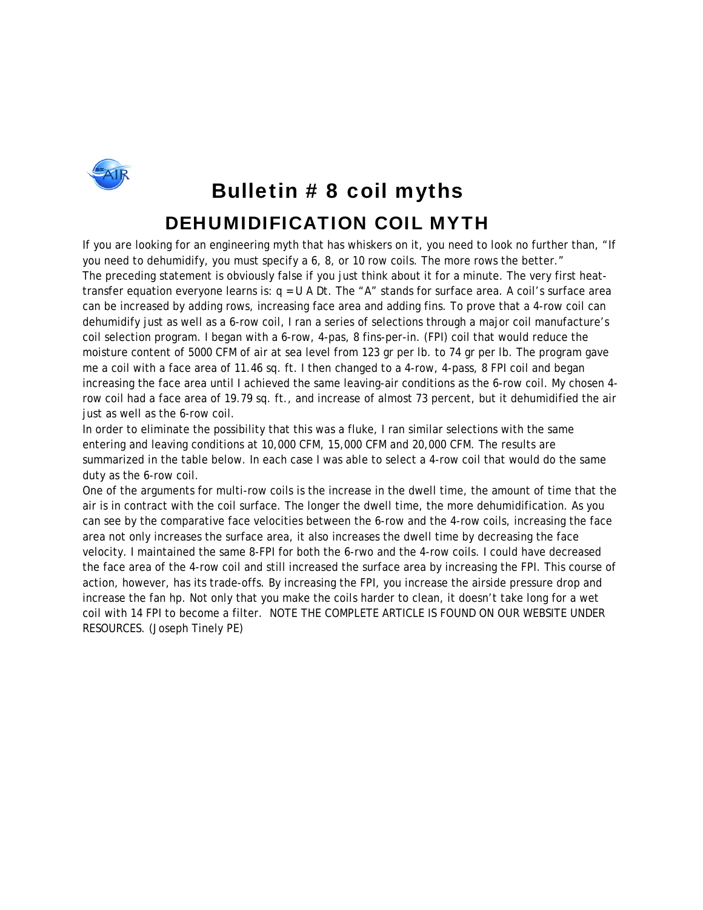

# Bulletin # 8 coil myths DEHUMIDIFICATION COIL MYTH

If you are looking for an engineering myth that has whiskers on it, you need to look no further than, "If you need to dehumidify, you must specify a 6, 8, or 10 row coils. The more rows the better." The preceding statement is obviously false if you just think about it for a minute. The very first heattransfer equation everyone learns is:  $q = U A Dt$ . The "A" stands for surface area. A coil's surface area can be increased by adding rows, increasing face area and adding fins. To prove that a 4-row coil can dehumidify just as well as a 6-row coil, I ran a series of selections through a major coil manufacture's coil selection program. I began with a 6-row, 4-pas, 8 fins-per-in. (FPI) coil that would reduce the moisture content of 5000 CFM of air at sea level from 123 gr per lb. to 74 gr per lb. The program gave me a coil with a face area of 11.46 sq. ft. I then changed to a 4-row, 4-pass, 8 FPI coil and began increasing the face area until I achieved the same leaving-air conditions as the 6-row coil. My chosen 4 row coil had a face area of 19.79 sq. ft., and increase of almost 73 percent, but it dehumidified the air just as well as the 6-row coil.

In order to eliminate the possibility that this was a fluke, I ran similar selections with the same entering and leaving conditions at 10,000 CFM, 15,000 CFM and 20,000 CFM. The results are summarized in the table below. In each case I was able to select a 4-row coil that would do the same duty as the 6-row coil.

One of the arguments for multi-row coils is the increase in the dwell time, the amount of time that the air is in contract with the coil surface. The longer the dwell time, the more dehumidification. As you can see by the comparative face velocities between the 6-row and the 4-row coils, increasing the face area not only increases the surface area, it also increases the dwell time by decreasing the face velocity. I maintained the same 8-FPI for both the 6-rwo and the 4-row coils. I could have decreased the face area of the 4-row coil and still increased the surface area by increasing the FPI. This course of action, however, has its trade-offs. By increasing the FPI, you increase the airside pressure drop and increase the fan hp. Not only that you make the coils harder to clean, it doesn't take long for a wet coil with 14 FPI to become a filter. NOTE THE COMPLETE ARTICLE IS FOUND ON OUR WEBSITE UNDER RESOURCES. (Joseph Tinely PE)